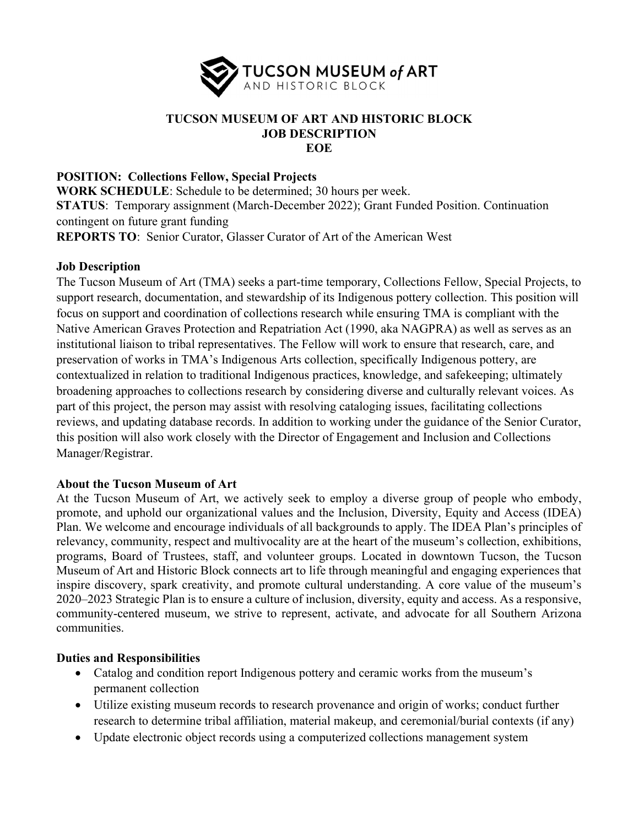

### TUCSON MUSEUM OF ART AND HISTORIC BLOCK JOB DESCRIPTION **EOE**

### POSITION: Collections Fellow, Special Projects

WORK SCHEDULE: Schedule to be determined; 30 hours per week. STATUS: Temporary assignment (March-December 2022); Grant Funded Position. Continuation contingent on future grant funding REPORTS TO: Senior Curator, Glasser Curator of Art of the American West

### Job Description

The Tucson Museum of Art (TMA) seeks a part-time temporary, Collections Fellow, Special Projects, to support research, documentation, and stewardship of its Indigenous pottery collection. This position will focus on support and coordination of collections research while ensuring TMA is compliant with the Native American Graves Protection and Repatriation Act (1990, aka NAGPRA) as well as serves as an institutional liaison to tribal representatives. The Fellow will work to ensure that research, care, and preservation of works in TMA's Indigenous Arts collection, specifically Indigenous pottery, are contextualized in relation to traditional Indigenous practices, knowledge, and safekeeping; ultimately broadening approaches to collections research by considering diverse and culturally relevant voices. As part of this project, the person may assist with resolving cataloging issues, facilitating collections reviews, and updating database records. In addition to working under the guidance of the Senior Curator, this position will also work closely with the Director of Engagement and Inclusion and Collections Manager/Registrar.

### About the Tucson Museum of Art

At the Tucson Museum of Art, we actively seek to employ a diverse group of people who embody, promote, and uphold our organizational values and the Inclusion, Diversity, Equity and Access (IDEA) Plan. We welcome and encourage individuals of all backgrounds to apply. The IDEA Plan's principles of relevancy, community, respect and multivocality are at the heart of the museum's collection, exhibitions, programs, Board of Trustees, staff, and volunteer groups. Located in downtown Tucson, the Tucson Museum of Art and Historic Block connects art to life through meaningful and engaging experiences that inspire discovery, spark creativity, and promote cultural understanding. A core value of the museum's 2020–2023 Strategic Plan is to ensure a culture of inclusion, diversity, equity and access. As a responsive, community-centered museum, we strive to represent, activate, and advocate for all Southern Arizona communities.

### Duties and Responsibilities

- Catalog and condition report Indigenous pottery and ceramic works from the museum's permanent collection
- Utilize existing museum records to research provenance and origin of works; conduct further research to determine tribal affiliation, material makeup, and ceremonial/burial contexts (if any)
- Update electronic object records using a computerized collections management system